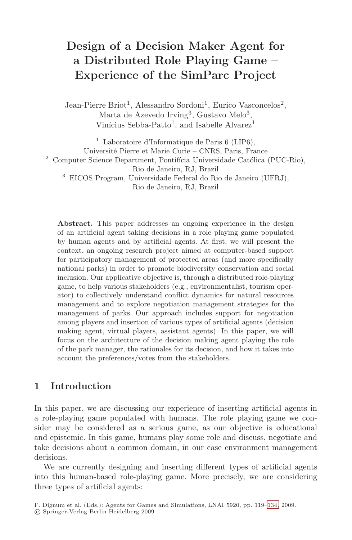# **Design of a Decision Maker Agent for a Distributed Role Playing Game – Experience of the SimParc Project**

Jean-Pierre Briot<sup>1</sup>, Alessandro Sordoni<sup>1</sup>, Eurico Vasconcelos<sup>2</sup>, Marta de Azevedo Irving<sup>3</sup>, Gustavo Melo<sup>3</sup>, Vinícius Sebba-Patto<sup>1</sup>, and Isabelle Alvarez<sup>1</sup>

<sup>1</sup> Laboratoire d'Informatique de Paris 6 (LIP6), Université Pierre et Marie Curie – CNRS, Paris, France  $^2$  Computer Science Department, Pontifícia Universidade Católica (PUC-Rio), Rio de Janeiro, RJ, Brazil <sup>3</sup> EICOS Program, Universidade Federal do Rio de Janeiro (UFRJ),

Rio de Janeiro, RJ, Brazil

**Abstract.** This paper addresses an ongoing experience in the design of an artificial agent taking decisions in a role playing game populated by human agents and by artificial agents. At first, we will present the context, an ongoing research project aimed at computer-based support for participatory management of protected areas (and more specifically national parks) in order to promote biodiversity conservation and social inclusion. Our applicative objective is, through a distributed role-playing game, to help various stakeholders (e.g., environmentalist, tourism operator) to collectively understand conflict dynamics for natural resources management and to explore negotiation management strategies for the management of parks. Our approach includes support for negotiation among players and insertion of various types of artificial agents (decision making agent, virtual players, assistant agents). In this paper, we will focus on the architecture of the decision making agent playing the role of the park manager, the rationales for its decision, and how it takes into account the preferences/votes from the stakeholders.

# **1 Introduction**

In this paper, we are discussing our experience of inserting artificial agents in a role-playing game populated with humans. The role playing game we consider may be considered as a serious game, [as](#page-15-0) our objective is educational and epistemic. In this game, humans play some role and discuss, negotiate and take decisions about a common domain, in our case environment management decisions.

We are currently designing and inserting different types of artificial agents into this human-based role-playing game. More precisely, we are considering three types of artificial agents:

- F. Dignum et al. (Eds.): Agents for Games and Simulations, LNAI 5920, pp. 119–134, 2009.
- -c Springer-Verlag Berlin Heidelberg 2009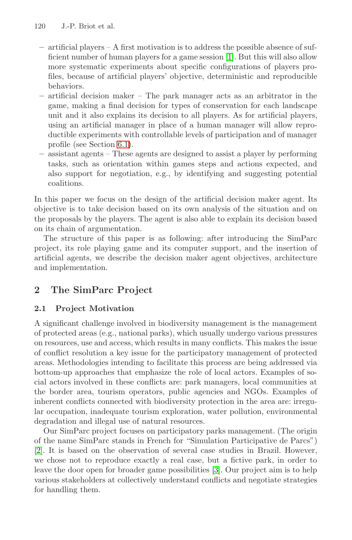- **–** artificial players A first motivation is to address the possible absence of sufficient number of human players for a game session [1]. But this will also allow [mor](#page-9-0)e systematic experiments about specific configurations of players profiles, because of artificial players' objective, deterministic and reproducible behaviors.
- **–** artificial decision maker The park manager acts as an arbitrator in the game, making a final decision for types of conservation for each landscape unit and it also explains its decision to all players. As for artificial players, using an artificial manager in place of a human manager will allow reproductible experiments with controllable levels of participation and of manager profile (see Section 6.1).
- **–** assistant agents These agents are designed to assist a player by performing tasks, such as orientation within games steps and actions expected, and also support for negotiation, e.g., by identifying and suggesting potential coalitions.

In this paper we focus on the design of the artificial decision maker agent. Its objective is to take decision based on its own analysis of the situation and on the proposals by the players. The agent is also able to explain its decision based on its chain of argumentation.

The structure of this paper is as following: after introducing the SimParc project, its role playing game and its computer support, and the insertion of artificial agents, we describe the decision maker agent objectives, architecture and implementation.

# **2 The SimParc Project**

## **2.1 Project Motivation**

A significant challenge involved in biodiversity management is the management of protected areas (e.g., national parks), which usually undergo various pressures on resources, use and access, which results in many conflicts. This makes the issue of conflict resolution a key issue for the participatory management of protected areas. Methodologies intending to facilitate this process are being addressed via bottom-up approaches that emphasize the role of local actors. Examples of social actors involved in these conflicts are: park managers, local communities at the border area, tourism oper[at](#page-15-1)ors, public agencies and NGOs. Examples of inherent conflicts connected with biodiversity protection in the area are: irregular occupation, inadequate tourism exploration, water pollution, environmental degradation and illegal use of natural resources.

Our SimParc project focuses on participatory parks management. (The origin of the name SimParc stands in French for "Simulation Participative de Parcs") [2]. It is based on the observation of several case studies in Brazil. However, we chose not to reproduce exactly a real case, but a fictive park, in order to leave the door open for broader game possibilities [3]. Our project aim is to help various stakeholders at collectively understand conflicts and negotiate strategies for handling them.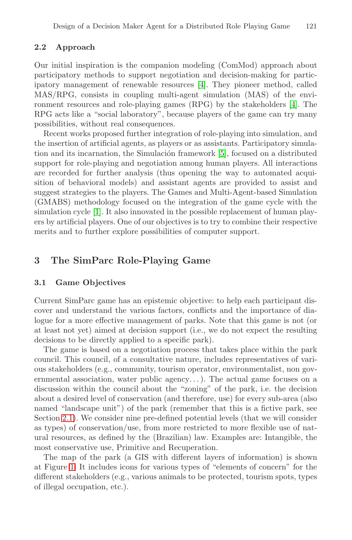### **2.2 Approach**

Our initial inspiration is the companion modeling (ComMod) approach about participatory methods to suppo[rt](#page-15-3) negotiation and decision-making for participatory management of renewable resources [4]. They pioneer method, called MAS/RPG, consists in coupling multi-agent simulation (MAS) of the environment resources and role-playing games (RPG) by the stakeholders [4]. The RPG acts like a "social laboratory", because players of the game can try many possibilities, without real consequences.

Recent works proposed further integration of role-playing into simulation, and the insertion of artificial agents, as players or as assistants. Participatory simulation and its incarnation, the Simulación framework [5], focused on a distributed support for role-playing and negotiation among human players. All interactions are recorded for further analysis (thus opening the way to automated acquisition of behavioral models) and assistant agents are provided to assist and suggest strategies to the players. The Games and Multi-Agent-based Simulation (GMABS) methodology focused on the integration of the game cycle with the simulation cycle [1]. It also innovated in the possible replacement of human players by artificial players. One of our objectives is to try to combine their respective merits and to further explore possibilities of computer support.

# **3 The SimParc Role-Playing Game**

### **3.1 Game Objectives**

Current SimParc game has an epistemic objective: to help each participant discover and understand the various factors, conflicts and the importance of dialogue for a more effective management of parks. Note that this game is not (or at least not yet) aimed at decision support (i.e., we do not expect the resulting decisions to be directly applied to a specific park).

The game is based on a negotiation process that takes place within the park council. This council, of a consultative nature, includes representatives of various stakeholders (e.g., community, tourism operator, environmentalist, non governmental association, water public agency...). The actual game focuses on a discussion within the council about the "zoning" of the park, i.e. the decision about a desired level of conservation (and therefore, use) for every sub-area (also named "landscape unit") of the park (remember that this is a fictive park, see Section 2.1). We consider nine pre-defined potential levels (that we will consider as types) of conservation/use, from more restricted to more flexible use of natural resources, as defined by the (Brazilian) law. Examples are: Intangible, the most conservative use, Primitive and Recuperation.

The map of the park (a GIS with different layers of information) is shown at Figure 1. It includes icons for various types of "elements of concern" for the different stakeholders (e.g., various animals to be protected, tourism spots, types of illegal occupation, etc.).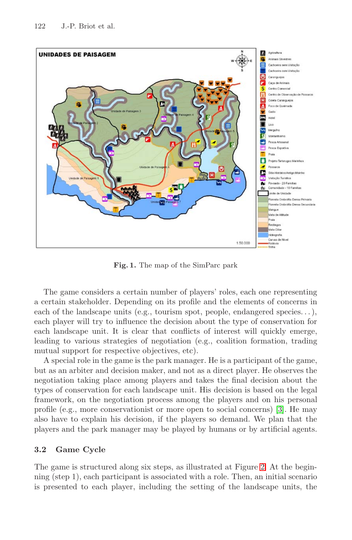

**Fig. 1.** The map of the SimParc park

The game considers a certain number of players' roles, each one representing a certain stakeholder. Depending on its profile and the elements of concerns in each of the landscape units (e.g., tourism spot, people, endangered species...), each player will try to influence the decision about the type of conservation for each landscape unit. It is clear that conflicts o[f i](#page-15-1)nterest will quickly emerge, leading to various strategies of negotiation (e.g., coalition formation, trading mutual support for respective objectives, etc).

A special role in the game is the park manager. He is a participant of the game, but as an arbiter and decision maker, and not as a direct player. He observes the negotiation taking place among players and takes the final decision about the types of conservation for each landscape uni[t.](#page-4-0) His decision is based on the legal framework, on the negotiation process among the players and on his personal profile (e.g., more conservationist or more open to social concerns) [3]. He may also have to explain his decision, if the players so demand. We plan that the players and the park manager may be played by humans or by artificial agents.

#### **3.2 Game Cycle**

The game is structured along six steps, as illustrated at Figure 2. At the beginning (step 1), each participant is associated with a role. Then, an initial scenario is presented to each player, including the setting of the landscape units, the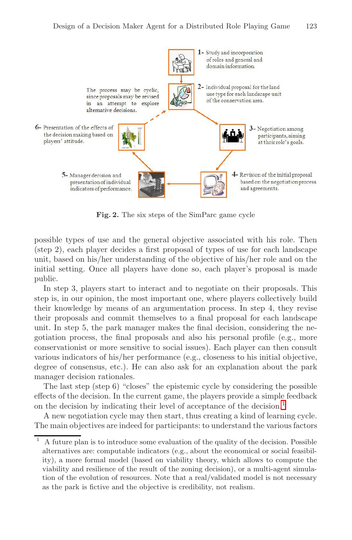

3- Negotiation among

4- Revision of the initial proposal

and agreements.

based on the negotiation process

participants, aiming

at their role's goals.

alternative decisions.

6- Presentation of the effects of

<span id="page-4-0"></span>players' attitude.

the decision making based on

5- Manager decision and

presentation of individual

indicators of performance

**Fig. 2.** The six steps of the SimParc game cycle

possible types of use and the general objective associated with his role. Then (step 2), each player decides a first proposal of types of use for each landscape unit, based on his/her understanding of the objective of his/her role and on the initial setting. Once all players have done so, each player's proposal is made public.

In step 3, players start to interact and to negotiate on their proposals. This step is, in our opinion, the most important one, where players collectively build their knowledge by means of an argumentation process. In step 4, they revise their proposals and commit themselves to a final proposal for each landscape unit. In step 5, the park manager makes the final [d](#page-4-1)ecision, considering the negotiation process, the final proposals and also his personal profile (e.g., more conservationist or more sensitive to social issues). Each player can then consult various indicators of his/her performance (e.g., closeness to his initial objective, degree of consensus, etc.). He can also ask for an explanation about the park manager decision rationales.

<span id="page-4-1"></span>The last step (step 6) "closes" the epistemic cycle by considering the possible effects of the decision. In the current game, the players provide a simple feedback on the decision by indicating their level of acceptance of the decision.<sup>1</sup>

A new negotiation cycle may then start, thus creating a kind of learning cycle. The main objectives are indeed for participants: to understand the various factors

<sup>1</sup> A future plan is to introduce some evaluation of the quality of the decision. Possible alternatives are: computable indicators (e.g., about the economical or social feasibility), a more formal model (based on viability theory, which allows to compute the viability and resilience of the result of the zoning decision), or a multi-agent simulation of the evolution of resources. Note that a real/validated model is not necessary as the park is fictive and the objective is credibility, not realism.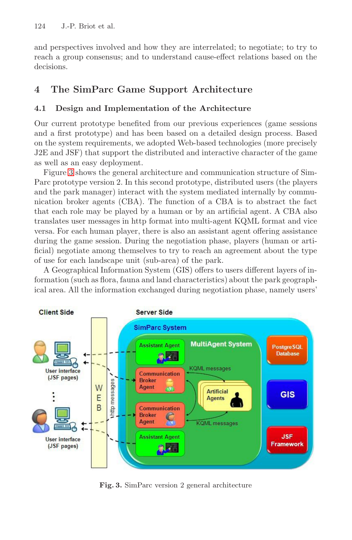and perspectives involved and how they are interrelated; to negotiate; to try to reach a group consensus; and to understand cause-effect relations based on the decisions.

# **4 The SimParc Game Support Architecture**

# **4.1 Design and Implementation of the Architecture**

Our current prototype benefited from our previous experiences (game sessions and a first prototype) and has been based on a detailed design process. Based on the system requirements, we adopted Web-based technologies (more precisely J2E and JSF) that support the distributed and interactive character of the game as well as an easy deployment.

Figure 3 shows the general architecture and communication structure of Sim-Parc prototype version 2. In this second prototype, distributed users (the players and the park manager) interact with the system mediated internally by communication broker agents (CBA). The function of a CBA is to abstract the fact that each role may be played by a human or by an artificial agent. A CBA also translates user messages in http format into multi-agent KQML format and vice versa. For each human player, there is also an assistant agent offering assistance during the game session. During the negotiation phase, players (human or artificial) negotiate among themselves to try to reach an agreement about the type of use for each landscape unit (sub-area) of the park.

A Geographical Information System (GIS) offers to users different layers of information (such as flora, fauna and land characteristics) about the park geographical area. All the information exchanged during negotiation phase, namely users'



**Fig. 3.** SimParc version 2 general architecture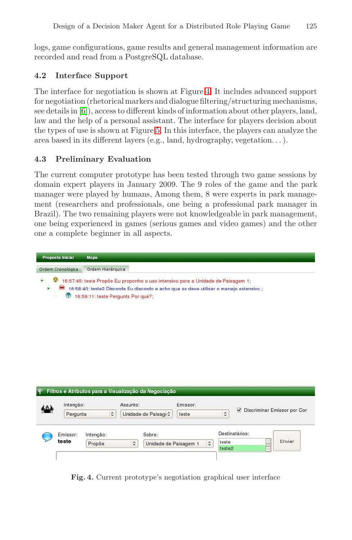logs, game configurations, game results and general management information are recorded and r[ea](#page-7-0)d from a PostgreSQL database.

### **4.2 Interface Support**

The interface for negotiation is shown at Figure 4. It includes advanced support for negotiation (rhetorical markers and dialogue filtering/structuring mechanisms, see details in [6]), access to different kinds of information about other players, land, law and the help of a personal assistant. The interface for players decision about the types of use is shown at Figure 5. In this interface, the players can analyze the area based in its different layers (e.g., land, hydrography, vegetation. . . ).

### **4.3 Preliminary Evaluation**

The current computer prototype has been tested through two game sessions by domain expert players in January 2009. The 9 roles of the game and the park manager were played by humans, Among them, 8 were experts in park management (researchers and professionals, one being a professional park manager in Brazil). The two remaining players were not knowledgeable in park management, one being experienced in games (serious games and video games) and the other one a complete beginner in all aspects.



**Fig. 4.** Current prototype's negotiation graphical user interface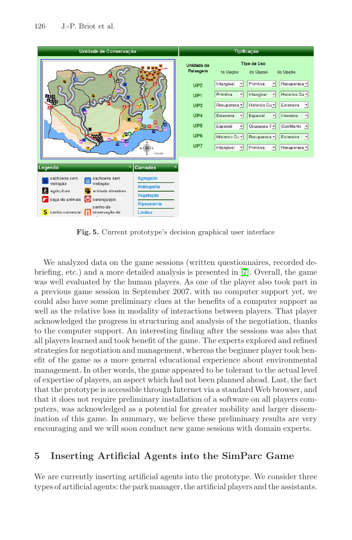

<span id="page-7-0"></span>**Fig. 5.** Current prototype's decision graphical user interface

We analyzed data on the game sessions (written questionnaires, recorded debriefing, etc.) and a more detailed analysis is presented in [7]. Overall, the game was well evaluated by the human players. As one of the player also took part in a previous game session in September 2007, with no computer support yet, we could also have some preliminary clues at the benefits of a computer support as well as the relative loss in modality of interactions between players. That player acknowledged the progress in structuring and analysis of the negotiation, thanks to the computer support. An interesting finding after the sessions was also that all players learned and took benefit of the game. The experts explored and refined strategies for negotiation and management, whereas the beginner player took benefit of the game as a more general educational experience about environmental management. In other words, the game appeared to be tolerant to the actual level of expertise of players, an aspect which had not been planned ahead. Last, the fact that the prototype is accessible through Internet via a standard Web browser, and that it does not require preliminary installation of a software on all players computers, was acknowledged as a potential for greater mobility and larger dissemination of this game. In summary, we believe these preliminary results are very encouraging and we will soon conduct new game sessions with domain experts.

# **5 Inserting Artificial Agents into the SimParc Game**

We are currently inserting artificial agents into the prototype. We consider three types of artificial agents: the park manager, the artificial players and the assistants.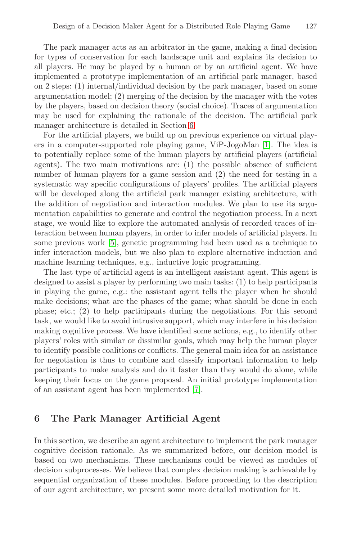The park manager ac[ts](#page-8-0) as an arbitrator in the game, making a final decision for types of conservation for each landscape unit and explains its decision to all players. He may be played by a human [or](#page-14-0) by an artificial agent. We have implemented a prototype implementation of an artificial park manager, based on 2 steps: (1) internal/individual decision by the park manager, based on some argumentation model; (2) merging of the decision by the manager with the votes by the players, based on decision theory (social choice). Traces of argumentation may be used for explaining the rationale of the decision. The artificial park manager architecture is detailed in Section 6.

For the artificial players, we build up on previous experience on virtual players in a computer-supported role playing game, ViP-JogoMan [1]. The idea is to potentially replace some of the human players by artificial players (artificial a[gen](#page-15-3)ts). The two main motivations are: (1) the possible absence of sufficient number of human players for a game session and (2) the need for testing in a systematic way specific configurations of players' profiles. The artificial players will be developed along the artificial park manager existing architecture, with the addition of negotiation and interaction modules. We plan to use its argumentation capabilities to generate and control the negotiation process. In a next stage, we would like to explore the automated analysis of recorded traces of interaction between human players, in order to infer models of artificial players. In some previous work [5], genetic programming had been used as a technique to infer interaction models, but we also plan to explore alternative induction and machine learning techniques, e.g., inductive logic programming.

<span id="page-8-0"></span>The last type of artificial agent is an intelligent assistant agent. This agent is designed to assist a player by performing two main tasks: (1) to help participants in playing the game, e.g.: the assistant agent tells the player when he should make decisions; what are the phases of the game; what should be done in each phase; etc.; (2) to help [par](#page-15-4)ticipants during the negotiations. For this second task, we would like to avoid intrusive support, which may interfere in his decision making cognitive process. We have identified some actions, e.g., to identify other players' roles with similar or dissimilar goals, which may help the human player to identify possible coalitions or conflicts. The general main idea for an assistance for negotiation is thus to combine and classify important information to help participants to make analysis and do it faster than they would do alone, while keeping their focus on the game proposal. An initial prototype implementation of an assistant agent has been implemented [7].

# **6 The Park Manager Artificial Agent**

In this section, we describe an agent architecture to implement the park manager cognitive decision rationale. As we summarized before, our decision model is based on two mechanisms. These mechanisms could be viewed as modules of decision subprocesses. We believe that complex decision making is achievable by sequential organization of these modules. Before proceeding to the description of our agent architecture, we present some more detailed motivation for it.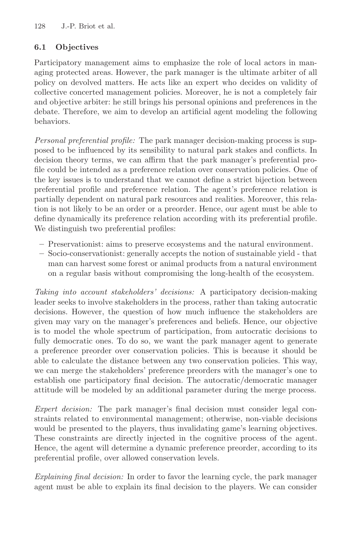# <span id="page-9-0"></span>**6.1 Objectives**

Participatory management aims to emphasize the role of local actors in managing protected areas. However, the park manager is the ultimate arbiter of all policy on devolved matters. He acts like an expert who decides on validity of collective concerted management policies. Moreover, he is not a completely fair and objective arbiter: he still brings his personal opinions and preferences in the debate. Therefore, we aim to develop an artificial agent modeling the following behaviors.

*Personal preferential profile:* The park manager decision-making process is supposed to be influenced by its sensibility to natural park stakes and conflicts. In decision theory terms, we can affirm that the park manager's preferential profile could be intended as a preference relation over conservation policies. One of the key issues is to understand that we cannot define a strict bijection between preferential profile and preference relation. The agent's preference relation is partially dependent on natural park resources and realities. Moreover, this relation is not likely to be an order or a preorder. Hence, our agent must be able to define dynamically its preference relation according with its preferential profile. We distinguish two preferential profiles:

- **–** Preservationist: aims to preserve ecosystems and the natural environment.
- **–** Socio-conservationist: generally accepts the notion of sustainable yield that man can harvest some forest or animal products from a natural environment on a regular basis without compromising the long-health of the ecosystem.

*Taking into account stakeholders' decisions:* A participatory decision-making leader seeks to involve stakeholders in the process, rather than taking autocratic decisions. However, the question of how much influence the stakeholders are given may vary on the manager's preferences and beliefs. Hence, our objective is to model the whole spectrum of participation, from autocratic decisions to fully democratic ones. To do so, we want the park manager agent to generate a preference preorder over conservation policies. This is because it should be able to calculate the distance between any two conservation policies. This way, we can merge the stakeholders' preference preorders with the manager's one to establish one participatory final decision. The autocratic/democratic manager attitude will be modeled by an additional parameter during the merge process.

*Expert decision:* The park manager's final decision must consider legal constraints related to environmental management; otherwise, non-viable decisions would be presented to the players, thus invalidating game's learning objectives. These constraints are directly injected in the cognitive process of the agent. Hence, the agent will determine a dynamic preference preorder, according to its preferential profile, over allowed conservation levels.

*Explaining final decision:* In order to favor the learning cycle, the park manager agent must be able to explain its final decision to the players. We can consider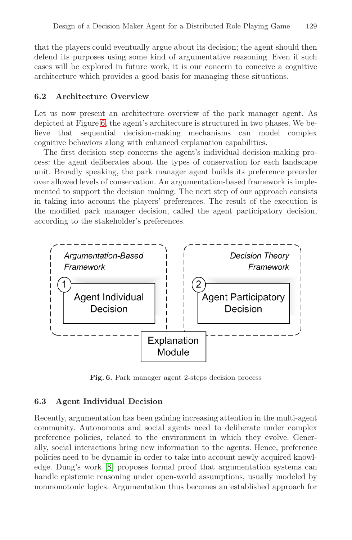[th](#page-10-0)at the players could eventually argue about its decision; the agent should then defend its purposes using some kind of argumentative reasoning. Even if such cases will be explored in future work, it is our concern to conceive a cognitive architecture which provides a good basis for managing these situations.

#### **6.2 Architecture Overview**

Let us now present an architecture overview of the park manager agent. As depicted at Figure 6, the agent's architecture is structured in two phases. We believe that sequential decision-making mechanisms can model complex cognitive behaviors along with enhanced explanation capabilities.

The first decision step concerns the agent's individual decision-making process: the agent deliberates about the types of conservation for each landscape unit. Broadly speaking, the park manager agent builds its preference preorder over allowed levels of conservation. An argumentation-based framework is implemented to support the decision making. The next step of our approach consists in taking into account the players' preferences. The result of the execution is the modified park manager decision, called the agent participatory decision, according to the stakeholder's preferences.

<span id="page-10-0"></span>

**Fig. 6.** Park manager agent 2-steps decision process

#### **6.3 Agent Individual Decision**

Recently, argumentation has been gaining increasing attention in the multi-agent community. Autonomous and social agents need to deliberate under complex preference policies, related to the environment in which they evolve. Generally, social interactions bring new information to the agents. Hence, preference policies need to be dynamic in order to take into account newly acquired knowledge. Dung's work [8] proposes formal proof that argumentation systems can handle epistemic reasoning under open-world assumptions, usually modeled by nonmonotonic logics. Argumentation thus becomes an established approach for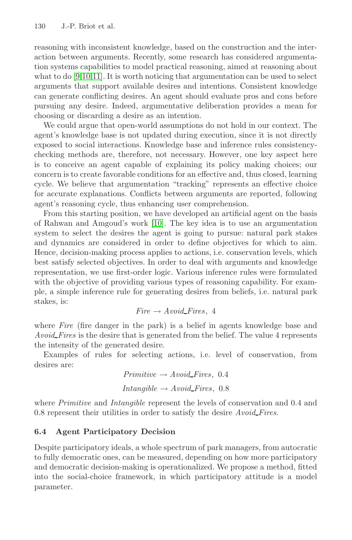reasoning with inconsistent knowledge, based on the construction and the interaction between arguments. Recently, some research has considered argumentation systems capabilities to model practical reasoning, aimed at reasoning about what to do [9,10,11]. It is worth noticing that argumentation can be used to select arguments that support available desires and intentions. Consistent knowledge can generate conflicting desires. An agent should evaluate pros and cons before pursuing any desire. Indeed, argumentative deliberation provides a mean for choosing or discarding a desire as an intention.

We could argue that open-world assumptions do not hold in our context. The agent's knowledge base is not updated during execution, since it is not directly exposed to so[cial](#page-15-5) interactions. Knowledge base and inference rules consistencychecking methods are, therefore, not necessary. However, one key aspect here is to conceive an agent capable of explaining its policy making choices; our concern is to create favorable conditions for an effective and, thus closed, learning cycle. We believe that argumentation "tracking" represents an effective choice for accurate explanations. Conflicts between arguments are reported, following agent's reasoning cycle, thus enhancing user comprehension.

From this starting position, we have developed an artificial agent on the basis of Rahwan and Amgoud's work [10]. The key idea is to use an argumentation system to select the desires the agent is going to pursue: natural park stakes and dynamics are considered in order to define objectives for which to aim. Hence, decision-making process applies to actions, i.e. conservation levels, which best satisfy selected objectives. In order to deal with arguments and knowledge representation, we use first-order logic. Various inference rules were formulated with the objective of providing various types of reasoning capability. For example, a simple inference rule for generating desires from beliefs, i.e. natural park stakes, is:

#### $Fire \rightarrow Avoid\_Fires, 4$

where *Fire* (fire danger in the park) is a belief in agents knowledge base and *Avoid Fires* is the desire that is generated from the belief. The value 4 represents the intensity of the generated desire.

Examples of rules for selecting actions, i.e. level of conservation, from desires are:

$$
Primitive \rightarrow Avoid\_Fires, 0.4
$$

$$
Intangible \rightarrow Avoid\_Fires, 0.8
$$

where *Primitive* and *Intangible* represent the levels of conservation and 0.4 and 0.8 represent their utilities in order to satisfy the desire *Avoid Fires*.

### **6.4 Agent Participatory Decision**

Despite participatory ideals, a whole spectrum of park managers, from autocratic to fully democratic ones, can be measured, depending on how more participatory and democratic decision-making is operationalized. We propose a method, fitted into the social-choice framework, in which participatory attitude is a model parameter.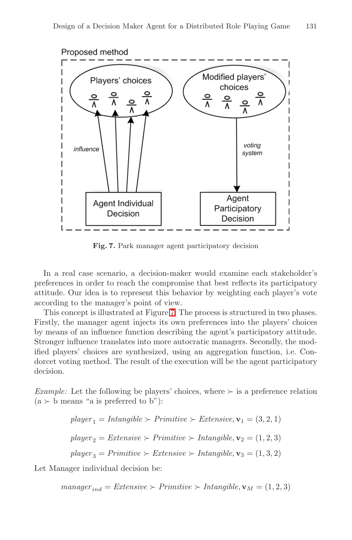

**Fig. 7.** Park manager agent participatory decision

In a real case scenario, a decision-maker would examine each stakeholder's preferences in order to reach the compromise that best reflects its participatory attitude. Our idea is to represent this behavior by weighting each player's vote according to the manager's point of view.

This concept is illustrated at Figure 7. The process is structured in two phases. Firstly, the manager agent injects its own preferences into the players' choices by means of an influence function describing the agent's participatory attitude. Stronger influence translates into more autocratic managers. Secondly, the modified players' choices are synthesized, using an aggregation function, i.e. Condorcet voting method. The result of the execution will be the agent participatory decision.

*Example:* Let the following be players' choices, where  $\succ$  is a preference relation  $(a \succ b$  means "a is preferred to b"):

```
player_1 = Intangible \succ Primitive \succ Extensive, \mathbf{v}_1 = (3, 2, 1)player_2 = Extensive \succ Permitive \succ Intangible, \mathbf{v}_2 = (1, 2, 3)player_3 = Primitive \succ Extensive \succ Intangle Intangible, \mathbf{v}_3 = (1, 3, 2)
```
Let Manager individual decision be:

 $manger_{ind} = Extensive \succ Primitive \succ Intangible, \mathbf{v}_M = (1, 2, 3)$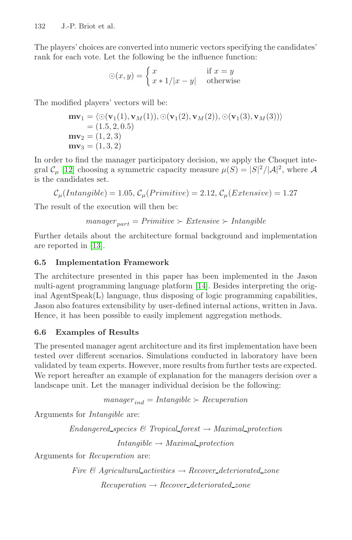The players' choices are converted into numeric vectors specifying the candidates' rank for each vote. Let the following be the influence function:

$$
\odot(x, y) = \begin{cases} x & \text{if } x = y \\ x * 1/|x - y| & \text{otherwise} \end{cases}
$$

The modified players' vectors will be:

$$
\begin{aligned} \mathbf{mv}_1 &= \langle \odot(\mathbf{v}_1(1), \mathbf{v}_M(1)), \odot(\mathbf{v}_1(2), \mathbf{v}_M(2)), \odot(\mathbf{v}_1(3), \mathbf{v}_M(3)) \rangle \\ &= (1.5, 2, 0.5) \\ \mathbf{mv}_2 &= (1, 2, 3) \\ \mathbf{mv}_3 &= (1, 3, 2) \end{aligned}
$$

In order to find the manager participatory decision, we apply the Choquet integral  $\mathcal{C}_{\mu}$  [12] choosing a symmetric capacity measure  $\mu(S) = |S|^2/|A|^2$ , where A is the candidates set is the candidates set.

$$
\mathcal{C}_{\mu}(Intangible) = 1.05, \mathcal{C}_{\mu}(Primitive) = 2.12, \mathcal{C}_{\mu}(Extensive) = 1.27
$$

The result of the executio[n wi](#page-15-6)ll then be:

$$
manager_{part} = Primitive \succ Extensive \succ Intangible
$$

Further details about the architecture formal background and implementation are reported in [13].

## **6.5 Implementation Framework**

The architecture presented in this paper has been implemented in the Jason multi-agent programming language platform [14]. Besides interpreting the original AgentSpeak(L) language, thus disposing of logic programming capabilities, Jason also features extensibility by user-defined internal actions, written in Java. Hence, it has been possible to easily implement aggregation methods.

## **6.6 Examples of Results**

The presented manager agent architecture and its first implementation have been tested over different scenarios. Simulations conducted in laboratory have been validated by team experts. However, more results from further tests are expected. We report hereafter an example of explanation for the managers decision over a landscape unit. Let the manager individual decision be the following:

 $manger_{ind} = Intangible \succ Recuperation$ 

Arguments for *Intangible* are:

*Endangered\_species & Tropical\_forest*  $\rightarrow$  *Maximal\_protection* 

*Intangible* → *Maximal protection*

Arguments for *Recuperation* are:

*Fire*  $\mathcal{B}$  *Agricultural activities*  $\rightarrow$  *Recover deteriorated zone* 

 $Recuperation \rightarrow Recover-deteriorated\_zone$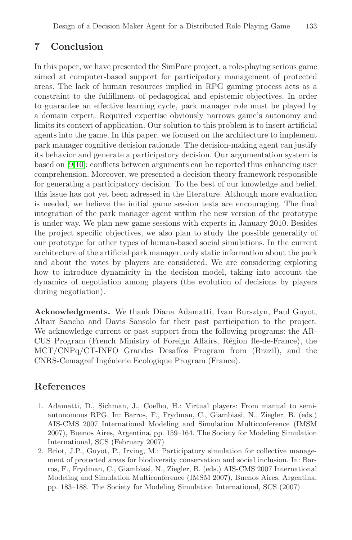# **7 Conclusion**

In this paper, we have presented the SimParc project, a role-playing serious game aimed at computer-based support for participatory management of protected areas. The lack of human resources implied in RPG gaming process acts as a constraint to the fulfillment of pedagogical and epistemic objectives. In order to guarantee an effective learning cycle, park manager role must be played by a domain expert. Required expertise obviously narrows game's autonomy and limits its context of application. Our solution to this problem is to insert artificial agents into the game. In this paper, we focused on the architecture to implement park manager cognitive decision rationale. The decision-making agent can justify its behavior and generate a participatory decision. Our argumentation system is based on [9,10]: conflicts between arguments can be reported thus enhancing user comprehension. Moreover, we presented a decision theory framework responsible for generating a participatory decision. To the best of our knowledge and belief, this issue has not yet been adressed in the literature. Although more evaluation is needed, we believe the initial game session tests are encouraging. The final integration of the park manager agent within the new version of the prototype is under way. We plan new game sessions with experts in January 2010. Besides the project specific objectives, we also plan to study the possible generality of our prototype for other types of human-based social simulations. In the current architecture of the artificial park manager, only static information about the park and about the votes by players are considered. We are considering exploring how to introduce dynamicity in the decision model, taking into account the dynamics of negotiation among players (the evolution of decisions by players during negotiation).

<span id="page-14-0"></span>**Acknowledgments.** We thank Diana Adamatti, Ivan Bursztyn, Paul Guyot, Altair Sancho and Davis Sansolo for their past participation to the project. We acknowledge current or past support from the following programs: the AR-CUS Program (French Ministry of Foreign Affairs, Région Ile-de-France), the MCT/CNPq/CT-INFO Grandes Desafíos Program from (Brazil), and the CNRS-Cemagref Ingénierie Ecologique Program (France).

# **References**

- 1. Adamatti, D., Sichman, J., Coelho, H.: Virtual players: From manual to semiautonomous RPG. In: Barros, F., Frydman, C., Giambiasi, N., Ziegler, B. (eds.) AIS-CMS 2007 International Modeling and Simulation Multiconference (IMSM 2007), Buenos Aires, Argentina, pp. 159–164. The Society for Modeling Simulation International, SCS (February 2007)
- 2. Briot, J.P., Guyot, P., Irving, M.: Participatory simulation for collective management of protected areas for biodiversity conservation and social inclusion. In: Barros, F., Frydman, C., Giambiasi, N., Ziegler, B. (eds.) AIS-CMS 2007 International Modeling and Simulation Multiconference (IMSM 2007), Buenos Aires, Argentina, pp. 183–188. The Society for Modeling Simulation International, SCS (2007)